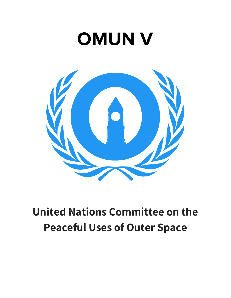# **OMUN V**



## **United Nations Committee on the Peaceful Uses of Outer Space**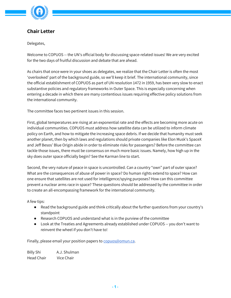

### **Chair Letter**

Delegates,

Welcome to COPUOS -- the UN's official body for discussing space-related issues! We are very excited for the two days of fruitful discussion and debate that are ahead.

As chairs that once were in your shoes as delegates, we realize that the Chair Letter is often the most 'overlooked' part of the background guide, so we'll keep it brief. The international community, since the official establishment of COPUOS as part of UN resolution 1472 in 1959, has been very slow to enact substantive policies and regulatory frameworks in Outer Space. This is especially concerning when entering a decade in which there are many contentious issues requiring effective policy solutions from the international community.

The committee faces two pertinent issues in this session.

First, global temperatures are rising at an exponential rate and the effects are becoming more acute on individual communities. COPUOS must address how satellite data can be utilized to inform climate policy on Earth, and how to mitigate the increasing space debris. If we decide that humanity must seek another planet, then by which laws and regulations should private companies like Elon Musk's SpaceX and Jeff Besos' Blue Origin abide in order to eliminate risks for passengers? Before the committee can tackle those issues, there must be consensus on much more basic issues. Namely, how high up in the sky does outer space officially begin? See the Karman line to start.

Second, the very nature of peace in space is uncontrolled. Can a country "own" part of outer space? What are the consequences of abuse of power in space? Do human rights extend to space? How can one ensure that satellites are not used for intelligence/spying purposes? How can this committee prevent a nuclear arms race in space? These questions should be addressed by the committee in order to create an all-encompassing framework for the international community.

A few tips:

- Read the background guide and think critically about the further questions from your country's standpoint
- Research COPUOS and understand what is in the purview of the committee
- Look at the Treaties and Agreements already established under COPUOS -- you don't want to reinvent the wheel if you don't have to!

Finally, please email your position papers to [copuos@omun.ca.](mailto:copuos@omun.ca)

Billy Shi A.J. Shulman Head Chair Vice Chair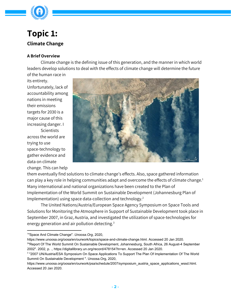

### **Topic 1: Climate Change**

### **A Brief Overview**

Climate change is the defining issue of this generation, and the manner in which world leaders develop solutions to deal with the effects of climate change will determine the future

of the human race in its entirety. Unfortunately, lack of accountability among nations in meeting their emissions targets for 2030 is a major cause of this increasing danger. I **Scientists** across the world are trying to use space-technology to gather evidence and data on climate change. This can help



them eventually find solutions to climate change's effects. Also, space gathered information can play a key role in helping communities adapt and overcome the effects of climate change. 1 Many international and national organizations have been created to the Plan of Implementation of the World Summit on Sustainable Development (Johannesburg Plan of Implementation) using space data-collection and technology. 2

The United Nations/Austria/European Space Agency Symposium on Space Tools and Solutions for Monitoring the Atmosphere in Support of Sustainable Development took place in September 2007, in Graz, Austria, and investigated the utilization of space-technologies for energy generation and air pollution detecting.<sup>3</sup>

<sup>1</sup> "Space And Climate Change". *Unoosa.Org*, 2020,

https://www.unoosa.org/oosa/en/ourwork/topics/space-and-climate-change.html. Accessed 20 Jan 2020.

<sup>2</sup> "Report Of The World Summit On Sustainable Development, Johannesburg, South Africa, 26 August-4 September 2002". 2002, p. ., https://digitallibrary.un.org/record/478154?ln=en. Accessed 20 Jan 2020.

<sup>&</sup>lt;sup>3</sup> "2007 UN/Austria/ESA Symposium On Space Applications To Support The Plan Of Implementation Of The World Summit On Sustainable Development ". Unoosa.Org, 2020,

https://www.unoosa.org/oosa/en/ourwork/psa/schedule/2007/symposium\_austria\_space\_applications\_wssd.html. Accessed 20 Jan 2020.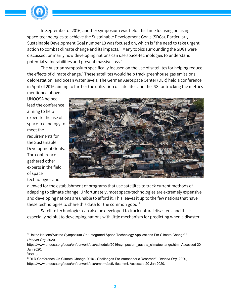

In September of 2016, another symposium was held, this time focusing on using space-technologies to achieve the Sustainable Development Goals (SDGs). Particularly Sustainable Development Goal number 13 was focused on, which is "the need to take urgent action to combat climate change and its impacts.'' Many topics surrounding the SDGs were discussed, primarily how developing nations can use space-technologies to understand potential vulnerabilities and prevent massive loss. 4

The Austrian symposium specifically focused on the use of satellites for helping reduce the effects of climate change.<sup>5</sup> These satellites would help track greenhouse gas emissions, deforestation, and ocean water levels. The German Aerospace Center (DLR) held a conference in April of 2016 aiming to further the utilization of satellites and the ISS for tracking the metrics mentioned above.

UNOOSA helped lead the conference aiming to help expedite the use of space-technology to meet the requirements for the Sustainable Development Goals. The conference gathered other experts in the field of space technologies and



allowed for the establishment of programs that use satellites to track current methods of adapting to climate change. Unfortunately, most space-technologies are extremely expensive and developing nations are unable to afford it. This leaves it up to the few nations that have these technologies to share this data for the common good. 6

Satellite technologies can also be developed to track natural disasters, and this is especially helpful to developing nations with little mechanism for predicting when a disaster

<sup>4</sup> "United Nations/Austria Symposium On "Integrated Space Technology Applications For Climate Change"". *Unoosa.Org*, 2020,

https://www.unoosa.org/oosa/en/ourwork/psa/schedule/2016/symposium\_austria\_climatechange.html. Accessed 20 Jan 2020.

<sup>5</sup> Ibid. 6

<sup>6</sup> "DLR Conference On Climate Change 2016 - Challenges For Atmospheric Reserach". *Unoosa.Org*, 2020, https://www.unoosa.org/oosa/en/ourwork/psa/emnrm/activities.html. Accessed 20 Jan 2020.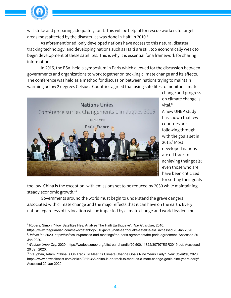

will strike and preparing adequately for it. This will be helpful for rescue workers to target areas most affected by the disaster, as was done in Haiti in 2010. $^7$ 

As aforementioned, only developed nations have access to this natural disaster tracking technology, and developing nations such as Haiti are still too economically weak to begin development of these satellites. This is why it is essential for a framework for sharing information.

In 2015, the ESA, held a symposium in Paris which allowed for the discussion between governments and organizations to work together on tackling climate change and its effects. The conference was held as a method for discussion between nations trying to maintain warming below 2 degrees Celsius. Countries agreed that using satellites to monitor climate



change and progress on climate change is vital. $8$ 

A new UNEP study has shown that few countries are following through with the goals set in 2015.<sup>9</sup> Most developed nations are off track to achieving their goals; even those who are have been criticized for setting their goals

too low. China is the exception, with emissions set to be reduced by 2030 while maintaining steady economic growth. 10

Governments around the world must begin to understand the grave dangers associated with climate change and the major effects that it can have on the earth. Every nation regardless of its location will be impacted by climate change and world leaders must

https://www.theguardian.com/news/datablog/2010/jan/15/haiti-earthquake-satellite-aid. Accessed 20 Jan 2020.

<sup>7</sup> Rogers, Simon. "How Satellites Help Analyse The Haiti Earthquake". *The Guardian*, 2010,

*<sup>8</sup>Unfccc.Int*, 2020, https://unfccc.int/process-and-meetings/the-paris-agreement/the-paris-agreement. Accessed 20 Jan 2020.

*<sup>9</sup>Wedocs.Unep.Org*, 2020, https://wedocs.unep.org/bitstream/handle/20.500.11822/30797/EGR2019.pdf. Accessed 20 Jan 2020.

<sup>10</sup> Vaughan, Adam. "China Is On Track To Meet Its Climate Change Goals Nine Years Early". *New Scientist*, 2020, https://www.newscientist.com/article/2211366-china-is-on-track-to-meet-its-climate-change-goals-nine-years-early/. Accessed 20 Jan 2020.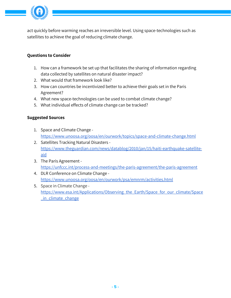

act quickly before warming reaches an irreversible level. Using space-technologies such as satellites to achieve the goal of reducing climate change.

### **Questions to Consider**

- 1. How can a framework be set up that facilitates the sharing of information regarding data collected by satellites on natural disaster impact?
- 2. What would that framework look like?
- 3. How can countries be incentivized better to achieve their goals set in the Paris Agreement?
- 4. What new space-technologies can be used to combat climate change?
- 5. What individual effects of climate change can be tracked?

#### **Suggested Sources**

- 1. Space and Climate Change <https://www.unoosa.org/oosa/en/ourwork/topics/space-and-climate-change.html>
- 2. Satellites Tracking Natural Disasters [https://www.theguardian.com/news/datablog/2010/jan/15/haiti-earthquake-satellite](https://www.theguardian.com/news/datablog/2010/jan/15/haiti-earthquake-satellite-aid)[aid](https://www.theguardian.com/news/datablog/2010/jan/15/haiti-earthquake-satellite-aid)
- 3. The Paris Agreement <https://unfccc.int/process-and-meetings/the-paris-agreement/the-paris-agreement>
- 4. DLR Conference on Climate Change <https://www.unoosa.org/oosa/en/ourwork/psa/emnrm/activities.html>
- 5. Space in Climate Change https://www.esa.int/Applications/Observing the Earth/Space for our climate/Space in climate change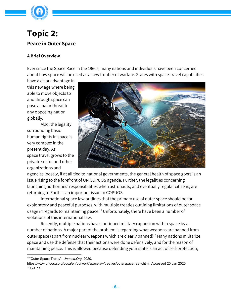

### **Topic 2: Peace in Outer Space**

### **A Brief Overview**

Ever since the Space Race in the 1960s, many nations and individuals have been concerned about how space will be used as a new frontier of warfare. States with space-travel capabilities

have a clear advantage in this new age where being able to move objects to and through space can pose a major threat to any opposing nation globally.

Also, the legality surrounding basic human rights in space is very complex in the present day. As space travel grows to the private sector and other organizations and



agencies loosely, if at all tied to national governments, the general health of space goers is an issue rising to the forefront of UN COPUOS agenda. Further, the legalities concerning launching authorities' responsibilities when astronauts, and eventually regular citizens, are returning to Earth is an important issue to COPUOS.

International space law outlines that the primary use of outer space should be for exploratory and peaceful purposes, with multiple treaties outlining limitations of outer space usage in regards to maintaining peace. $^{\rm 11}$  Unfortunately, there have been a number of violations of this international law.

Recently, multiple nations have continued military expansion within space by a number of nations. A major part of the problem is regarding what weapons are banned from outer space (apart from nuclear weapons which are clearly banned)<sup>12</sup> Many nations militarize space and use the defense that their actions were done defensively, and for the reason of maintaining peace. This is allowed because defending your state is an act of self-protection,

<sup>11</sup> "Outer Space Treaty". *Unoosa.Org*, 2020,

https://www.unoosa.org/oosa/en/ourwork/spacelaw/treaties/outerspacetreaty.html. Accessed 20 Jan 2020.  $12$ lbid. 14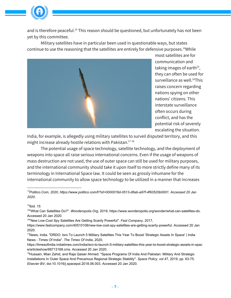

and is therefore peaceful.<sup>13</sup> This reason should be questioned, but unfortunately has not been yet by this committee.

Military satellites have in particular been used in questionable ways, but states continue to use the reasoning that the satellites are entirely for defensive purposes.<sup>14</sup>While



most satellites are for communication and taking images of earth $^{15}$ , they can often be used for surveillance as well.<sup>16</sup>This raises concern regarding nations spying on other nations' citizens. This interstate surveillance often occurs during conflict, and has the potential risk of severely escalating the situation.

India, for example, is allegedly using military satellites to surveil disputed territory, and this might increase already hostile relations with Pakistan. 17 18

The potential usage of space technology, satellite technology, and the deployment of weapons into space all raise serious international concerns. Even if the usage of weapons of mass destruction are not used, the use of outer space can still be used for military purposes, and the international community should take it upon itself to more strictly define many of its terminology in International Space law. It could be seen as grossly inhumane for the international community to allow space technology to be utilized in a manner that increases

#### 14 Ibid. 15

15 "What Can Satellites Do?". *Wonderopolis.Org*, 2019, https://www.wonderopolis.org/wonder/what-can-satellites-do. Accessed 20 Jan 2020.

<sup>16</sup>"New Low-Cost Spy Satellites Are Getting Scarily Powerful". Fast Company, 2017,

*<sup>13</sup>Politico.Com, 2020, https://www.politico.com/f/?id=0000016d-0513-d6ab-a97f-4f93520b0001. Accessed 20 Jan 2020.*

https://www.fastcompany.com/40510108/new-low-cost-spy-satellites-are-getting-scarily-powerful. Accessed 20 Jan 2020.

<sup>&</sup>lt;sup>17</sup>News, India. "DRDO: Isro To Launch 5 Military Satellites This Year To Boost 'Strategic Assets In Space' | India News - Times Of India". *The Times Of India*, 2020,

https://timesofindia.indiatimes.com/india/isro-to-launch-5-military-satellites-this-year-to-boost-strategic-assets-in-spac e/articleshow/68713168.cms. Accessed 20 Jan 2020.

<sup>&</sup>lt;sup>18</sup>Hussain, Mian Zahid, and Raja Qaiser Ahmed. "Space Programs Of India And Pakistan: Military And Strategic Installations In Outer Space And Precarious Regional Strategic Stability". *Space Policy*, vol 47, 2019, pp. 63-75. *Elsevier BV*, doi:10.1016/j.spacepol.2018.06.003. Accessed 20 Jan 2020.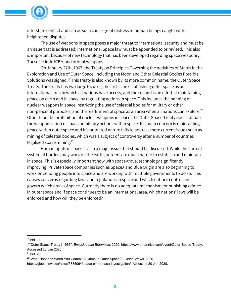

interstate conflict and can as such cause great distress to human beings caught within heightened disputes.

The use of weapons in space poses a major threat to international security and must be an issue that is addressed; International Space law must be appended to or revised. This also is important because of new technology that has been developed regarding space weaponry. These include ICBM and orbital weapons.

On January 27th, 1967, the Treaty on Principles Governing the Activities of States in the Exploration and Use of Outer Space, including the Moon and Other Celestial Bodies Possible Solutions was signed.<sup>19</sup> This treaty is also known by its more common name, the Outer Space Treaty. The treaty has two large focuses, the first is on establishing outer space as an international area in which all nations have access, and the second is an effort at maintaining peace on earth and in space by regulating actions in space. This includes the banning of nuclear weapons in space, restricting the use of celestial bodies for military or other non-peaceful purposes, and the reaffirment of space as an area when all nations can explore. 20 Other than the prohibition of nuclear weapons in space, the Outer Space Treaty does not ban the weaponization of space or military actions within space. It's main concern is maintaining peace within outer space and it's outdated nature fails to address more current issues such as mining of celestial bodies, which was a subject of controversy after a number of countries legalized space mining. 21

Human rights in space is also a major issue that should be discussed. While the current system of borders may work on the earth, borders are much harder to establish and maintain in space. This is especially important now with space-travel technology significantly improving. Private space companies such as SpaceX and Blue Origin are also beginning to work on sending people into space and are working with multiple governments to do so. This causes concerns regarding laws and regulations in space and which entities control and govern which areas of space. Currently there is no adequate mechanism for punishing crime<sup>22</sup> in outer space and if space continues to be an international area, which nations' laws will be enforced and how will they be enforced?

<sup>&</sup>lt;sup>19</sup>lbid. 14

<sup>20</sup> "Outer Space Treaty | 1967". *Encyclopedia Britannica*, 2020, https://www.britannica.com/event/Outer-Space-Treaty. Accessed 20 Jan 2020.

 $21$ Ibid. 23

<sup>22</sup> "What Happens When You Commit A Crime In Outer Space?". *Global News*, 2020,

https://globalnews.ca/news/5835064/space-crime-nasa-investigation/. Accessed 20 Jan 2020.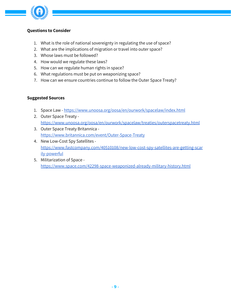

### **Questions to Consider**

- 1. What is the role of national sovereignty in regulating the use of space?
- 2. What are the implications of migration or travel into outer space?
- 3. Whose laws must be followed?
- 4. How would we regulate these laws?
- 5. How can we regulate human rights in space?
- 6. What regulations must be put on weaponizing space?
- 7. How can we ensure countries continue to follow the Outer Space Treaty?

### **Suggested Sources**

- 1. Space Law <https://www.unoosa.org/oosa/en/ourwork/spacelaw/index.html>
- 2. Outer Space Treaty <https://www.unoosa.org/oosa/en/ourwork/spacelaw/treaties/outerspacetreaty.html>
- 3. Outer Space Treaty Britannica <https://www.britannica.com/event/Outer-Space-Treaty>
- 4. New [Low-Cost](https://www.fastcompany.com/40510108/new-low-cost-spy-satellites-are-getting-scarily-powerful) Spy Satellites [https://www.fastcompany.com/40510108/new-low-cost-spy-satellites-are-getting-scar](https://www.fastcompany.com/40510108/new-low-cost-spy-satellites-are-getting-scarily-powerful) [ily-powerful](https://www.fastcompany.com/40510108/new-low-cost-spy-satellites-are-getting-scarily-powerful)
- 5. Militarization of Space <https://www.space.com/42298-space-weaponized-already-military-history.html>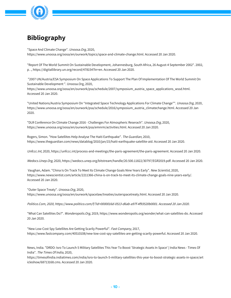

### **Bibliography**

"Space And Climate Change". Unoosa. Org, 2020, https://www.unoosa.org/oosa/en/ourwork/topics/space-and-climate-change.html. Accessed 20 Jan 2020.

"Report Of The World Summit On Sustainable Development, Johannesburg, South Africa, 26 August-4 September 2002". 2002, p. ., https://digitallibrary.un.org/record/478154?ln=en. Accessed 20 Jan 2020.

"2007 UN/Austria/ESA Symposium On Space Applications To Support The Plan Of Implementation Of The World Summit On Sustainable Development ". Unoosa.Org, 2020,

https://www.unoosa.org/oosa/en/ourwork/psa/schedule/2007/symposium\_austria\_space\_applications\_wssd.html. Accessed 20 Jan 2020.

"United Nations/Austria Symposium On "Integrated Space Technology Applications For Climate Change"". Unoosa.Org, 2020, https://www.unoosa.org/oosa/en/ourwork/psa/schedule/2016/symposium\_austria\_climatechange.html. Accessed 20 Jan 2020.

"DLR Conference On Climate Change 2016 - Challenges For Atmospheric Reserach". Unoosa.Org, 2020, https://www.unoosa.org/oosa/en/ourwork/psa/emnrm/activities.html. Accessed 20 Jan 2020.

Rogers, Simon. "How Satellites Help Analyse The Haiti Earthquake". The Guardian, 2010, https://www.theguardian.com/news/datablog/2010/jan/15/haiti-earthquake-satellite-aid. Accessed 20 Jan 2020.

Unfccc.Int, 2020, https://unfccc.int/process-and-meetings/the-paris-agreement/the-paris-agreement. Accessed 20 Jan 2020.

Wedocs.Unep.Org, 2020, https://wedocs.unep.org/bitstream/handle/20.500.11822/30797/EGR2019.pdf. Accessed 20 Jan 2020.

Vaughan, Adam. "China Is On Track To Meet Its Climate Change Goals Nine Years Early". New Scientist, 2020, https://www.newscientist.com/article/2211366-china-is-on-track-to-meet-its-climate-change-goals-nine-years-early/. Accessed 20 Jan 2020.

"Outer Space Treaty". Unoosa. Org, 2020, https://www.unoosa.org/oosa/en/ourwork/spacelaw/treaties/outerspacetreaty.html. Accessed 20 Jan 2020.

Politico.Com, 2020, https://www.politico.com/f/?id=0000016d-0513-d6ab-a97f-4f93520b0001. Accessed 20 Jan 2020.

"What Can Satellites Do?". Wonderopolis.Org, 2019, https://www.wonderopolis.org/wonder/what-can-satellites-do. Accessed 20 Jan 2020.

"New Low-Cost Spy Satellites Are Getting Scarily Powerful". Fast Company, 2017, https://www.fastcompany.com/40510108/new-low-cost-spy-satellites-are-getting-scarily-powerful. Accessed 20 Jan 2020.

News, India. "DRDO: Isro To Launch 5 Military Satellites This Year To Boost 'Strategic Assets In Space' | India News - Times Of India". The Times Of India, 2020,

https://timesofindia.indiatimes.com/india/isro-to-launch-5-military-satellites-this-year-to-boost-strategic-assets-in-space/art icleshow/68713168.cms. Accessed 20 Jan 2020.